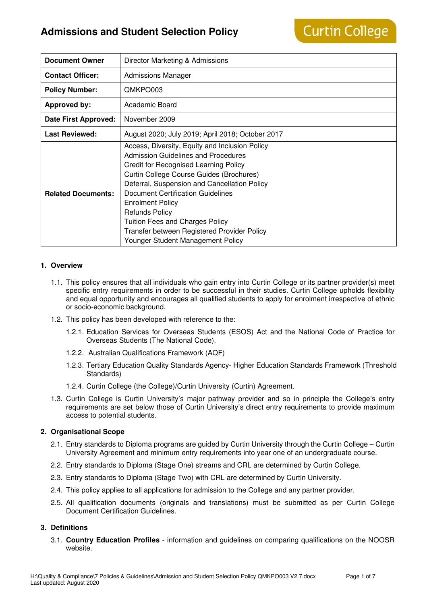# **Admissions and Student Selection Policy**

| <b>Document Owner</b>       | Director Marketing & Admissions                                                                                                                                                                                                                                                                                                                                                                                                                          |  |  |
|-----------------------------|----------------------------------------------------------------------------------------------------------------------------------------------------------------------------------------------------------------------------------------------------------------------------------------------------------------------------------------------------------------------------------------------------------------------------------------------------------|--|--|
| <b>Contact Officer:</b>     | <b>Admissions Manager</b>                                                                                                                                                                                                                                                                                                                                                                                                                                |  |  |
| <b>Policy Number:</b>       | QMKPO003                                                                                                                                                                                                                                                                                                                                                                                                                                                 |  |  |
| <b>Approved by:</b>         | Academic Board                                                                                                                                                                                                                                                                                                                                                                                                                                           |  |  |
| <b>Date First Approved:</b> | November 2009                                                                                                                                                                                                                                                                                                                                                                                                                                            |  |  |
| <b>Last Reviewed:</b>       | August 2020; July 2019; April 2018; October 2017                                                                                                                                                                                                                                                                                                                                                                                                         |  |  |
| <b>Related Documents:</b>   | Access, Diversity, Equity and Inclusion Policy<br>Admission Guidelines and Procedures<br><b>Credit for Recognised Learning Policy</b><br>Curtin College Course Guides (Brochures)<br>Deferral, Suspension and Cancellation Policy<br>Document Certification Guidelines<br><b>Enrolment Policy</b><br><b>Refunds Policy</b><br><b>Tuition Fees and Charges Policy</b><br>Transfer between Registered Provider Policy<br>Younger Student Management Policy |  |  |

#### **1. Overview**

- 1.1. This policy ensures that all individuals who gain entry into Curtin College or its partner provider(s) meet specific entry requirements in order to be successful in their studies. Curtin College upholds flexibility and equal opportunity and encourages all qualified students to apply for enrolment irrespective of ethnic or socio-economic background.
- 1.2. This policy has been developed with reference to the:
	- 1.2.1. Education Services for Overseas Students (ESOS) Act and the National Code of Practice for Overseas Students (The National Code).
	- 1.2.2. Australian Qualifications Framework (AQF)
	- 1.2.3. Tertiary Education Quality Standards Agency- Higher Education Standards Framework (Threshold Standards)
	- 1.2.4. Curtin College (the College)/Curtin University (Curtin) Agreement.
- 1.3. Curtin College is Curtin University's major pathway provider and so in principle the College's entry requirements are set below those of Curtin University's direct entry requirements to provide maximum access to potential students.

#### **2. Organisational Scope**

- 2.1. Entry standards to Diploma programs are guided by Curtin University through the Curtin College Curtin University Agreement and minimum entry requirements into year one of an undergraduate course.
- 2.2. Entry standards to Diploma (Stage One) streams and CRL are determined by Curtin College.
- 2.3. Entry standards to Diploma (Stage Two) with CRL are determined by Curtin University.
- 2.4. This policy applies to all applications for admission to the College and any partner provider.
- 2.5. All qualification documents (originals and translations) must be submitted as per Curtin College Document Certification Guidelines.

#### **3. Definitions**

3.1. **Country Education Profiles** - information and guidelines on comparing qualifications on the NOOSR website.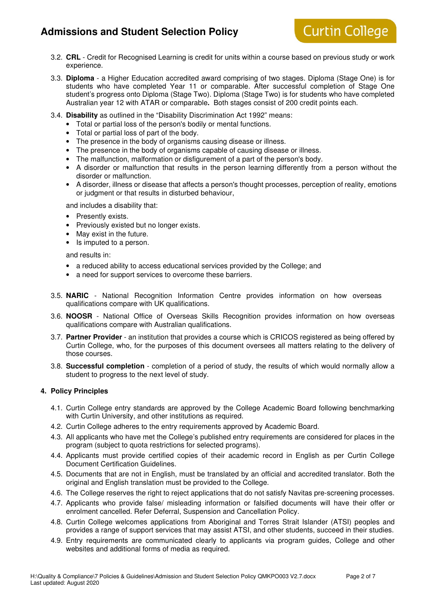# **Admissions and Student Selection Policy**

# **Curtin College**

- 3.2. **CRL** Credit for Recognised Learning is credit for units within a course based on previous study or work experience.
- 3.3. **Diploma** a Higher Education accredited award comprising of two stages. Diploma (Stage One) is for students who have completed Year 11 or comparable. After successful completion of Stage One student's progress onto Diploma (Stage Two). Diploma (Stage Two) is for students who have completed Australian year 12 with ATAR or comparable**.** Both stages consist of 200 credit points each.
- 3.4. **Disability** as outlined in the "Disability Discrimination Act 1992" means:
	- Total or partial loss of the person's bodily or mental functions.
	- Total or partial loss of part of the body.
	- The presence in the body of organisms causing disease or illness.
	- The presence in the body of organisms capable of causing disease or illness.
	- The malfunction, malformation or disfigurement of a part of the person's body.
	- A disorder or malfunction that results in the person learning differently from a person without the disorder or malfunction.
	- A disorder, illness or disease that affects a person's thought processes, perception of reality, emotions or judgment or that results in disturbed behaviour,

and includes a disability that:

- Presently exists.
- Previously existed but no longer exists.
- May exist in the future.
- Is imputed to a person.

and results in:

- a reduced ability to access educational services provided by the College; and
- a need for support services to overcome these barriers.
- 3.5. **NARIC** National Recognition Information Centre provides information on how overseas qualifications compare with UK qualifications.
- 3.6. **NOOSR** National Office of Overseas Skills Recognition provides information on how overseas qualifications compare with Australian qualifications.
- 3.7. **Partner Provider** an institution that provides a course which is CRICOS registered as being offered by Curtin College, who, for the purposes of this document oversees all matters relating to the delivery of those courses.
- 3.8. **Successful completion** completion of a period of study, the results of which would normally allow a student to progress to the next level of study.

#### **4. Policy Principles**

- 4.1. Curtin College entry standards are approved by the College Academic Board following benchmarking with Curtin University, and other institutions as required.
- 4.2. Curtin College adheres to the entry requirements approved by Academic Board.
- 4.3. All applicants who have met the College's published entry requirements are considered for places in the program (subject to quota restrictions for selected programs).
- 4.4. Applicants must provide certified copies of their academic record in English as per Curtin College Document Certification Guidelines.
- 4.5. Documents that are not in English, must be translated by an official and accredited translator. Both the original and English translation must be provided to the College.
- 4.6. The College reserves the right to reject applications that do not satisfy Navitas pre-screening processes.
- 4.7. Applicants who provide false/ misleading information or falsified documents will have their offer or enrolment cancelled. Refer Deferral, Suspension and Cancellation Policy.
- 4.8. Curtin College welcomes applications from Aboriginal and Torres Strait Islander (ATSI) peoples and provides a range of support services that may assist ATSI, and other students, succeed in their studies.
- 4.9. Entry requirements are communicated clearly to applicants via program guides, College and other websites and additional forms of media as required.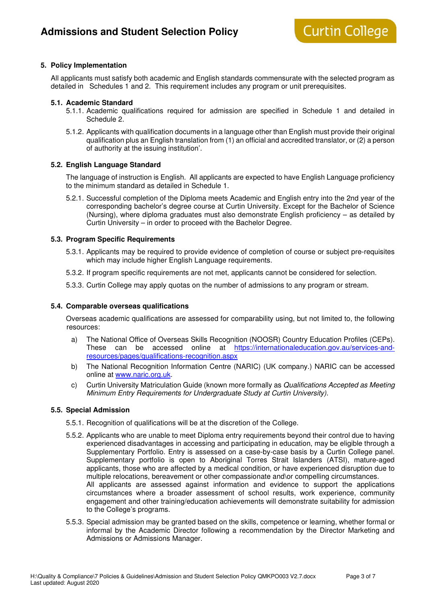#### **5. Policy Implementation**

All applicants must satisfy both academic and English standards commensurate with the selected program as detailed in Schedules 1 and 2. This requirement includes any program or unit prerequisites.

#### **5.1. Academic Standard**

- 5.1.1. Academic qualifications required for admission are specified in Schedule 1 and detailed in Schedule 2.
- 5.1.2. Applicants with qualification documents in a language other than English must provide their original qualification plus an English translation from (1) an official and accredited translator, or (2) a person of authority at the issuing institution'.

#### **5.2. English Language Standard**

The language of instruction is English. All applicants are expected to have English Language proficiency to the minimum standard as detailed in Schedule 1.

5.2.1. Successful completion of the Diploma meets Academic and English entry into the 2nd year of the corresponding bachelor's degree course at Curtin University. Except for the Bachelor of Science (Nursing), where diploma graduates must also demonstrate English proficiency – as detailed by Curtin University – in order to proceed with the Bachelor Degree.

#### **5.3. Program Specific Requirements**

- 5.3.1. Applicants may be required to provide evidence of completion of course or subject pre-requisites which may include higher English Language requirements.
- 5.3.2. If program specific requirements are not met, applicants cannot be considered for selection.
- 5.3.3. Curtin College may apply quotas on the number of admissions to any program or stream.

#### **5.4. Comparable overseas qualifications**

Overseas academic qualifications are assessed for comparability using, but not limited to, the following resources:

- a) The National Office of Overseas Skills Recognition (NOOSR) Country Education Profiles (CEPs). These can be accessed online at https://internationaleducation.gov.au/services-andresources/pages/qualifications-recognition.aspx
- b) The National Recognition Information Centre (NARIC) (UK company.) NARIC can be accessed online at www.naric.org.uk.
- c) Curtin University Matriculation Guide (known more formally as Qualifications Accepted as Meeting Minimum Entry Requirements for Undergraduate Study at Curtin University).

#### **5.5. Special Admission**

- 5.5.1. Recognition of qualifications will be at the discretion of the College.
- 5.5.2. Applicants who are unable to meet Diploma entry requirements beyond their control due to having experienced disadvantages in accessing and participating in education, may be eligible through a Supplementary Portfolio. Entry is assessed on a case-by-case basis by a Curtin College panel. Supplementary portfolio is open to Aboriginal Torres Strait Islanders (ATSI), mature-aged applicants, those who are affected by a medical condition, or have experienced disruption due to multiple relocations, bereavement or other compassionate and\or compelling circumstances. All applicants are assessed against information and evidence to support the applications circumstances where a broader assessment of school results, work experience, community engagement and other training/education achievements will demonstrate suitability for admission to the College's programs.
- 5.5.3. Special admission may be granted based on the skills, competence or learning, whether formal or informal by the Academic Director following a recommendation by the Director Marketing and Admissions or Admissions Manager.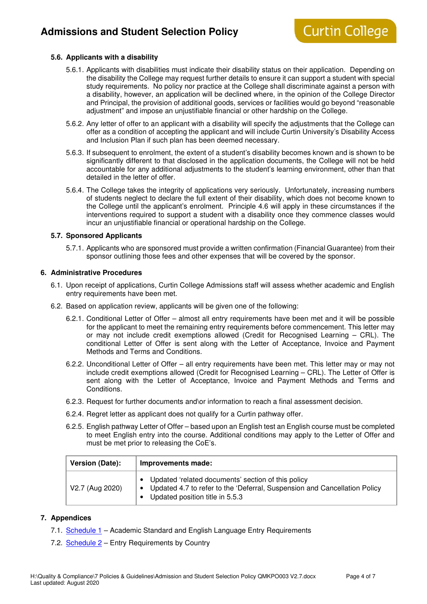#### **5.6. Applicants with a disability**

- 5.6.1. Applicants with disabilities must indicate their disability status on their application. Depending on the disability the College may request further details to ensure it can support a student with special study requirements. No policy nor practice at the College shall discriminate against a person with a disability, however, an application will be declined where, in the opinion of the College Director and Principal, the provision of additional goods, services or facilities would go beyond "reasonable adjustment" and impose an unjustifiable financial or other hardship on the College.
- 5.6.2. Any letter of offer to an applicant with a disability will specify the adjustments that the College can offer as a condition of accepting the applicant and will include Curtin University's Disability Access and Inclusion Plan if such plan has been deemed necessary.
- 5.6.3. If subsequent to enrolment, the extent of a student's disability becomes known and is shown to be significantly different to that disclosed in the application documents, the College will not be held accountable for any additional adjustments to the student's learning environment, other than that detailed in the letter of offer.
- 5.6.4. The College takes the integrity of applications very seriously. Unfortunately, increasing numbers of students neglect to declare the full extent of their disability, which does not become known to the College until the applicant's enrolment. Principle 4.6 will apply in these circumstances if the interventions required to support a student with a disability once they commence classes would incur an unjustifiable financial or operational hardship on the College.

#### **5.7. Sponsored Applicants**

5.7.1. Applicants who are sponsored must provide a written confirmation (Financial Guarantee) from their sponsor outlining those fees and other expenses that will be covered by the sponsor.

#### **6. Administrative Procedures**

- 6.1. Upon receipt of applications, Curtin College Admissions staff will assess whether academic and English entry requirements have been met.
- 6.2. Based on application review, applicants will be given one of the following:
	- 6.2.1. Conditional Letter of Offer almost all entry requirements have been met and it will be possible for the applicant to meet the remaining entry requirements before commencement. This letter may or may not include credit exemptions allowed (Credit for Recognised Learning – CRL). The conditional Letter of Offer is sent along with the Letter of Acceptance, Invoice and Payment Methods and Terms and Conditions.
	- 6.2.2. Unconditional Letter of Offer all entry requirements have been met. This letter may or may not include credit exemptions allowed (Credit for Recognised Learning – CRL). The Letter of Offer is sent along with the Letter of Acceptance, Invoice and Payment Methods and Terms and Conditions.
	- 6.2.3. Request for further documents and\or information to reach a final assessment decision.
	- 6.2.4. Regret letter as applicant does not qualify for a Curtin pathway offer.
	- 6.2.5. English pathway Letter of Offer based upon an English test an English course must be completed to meet English entry into the course. Additional conditions may apply to the Letter of Offer and must be met prior to releasing the CoE's.

| Version (Date): | Improvements made:                                                                                                                                                     |  |  |
|-----------------|------------------------------------------------------------------------------------------------------------------------------------------------------------------------|--|--|
| V2.7 (Aug 2020) | • Updated 'related documents' section of this policy<br>• Updated 4.7 to refer to the 'Deferral, Suspension and Cancellation Policy<br>Updated position title in 5.5.3 |  |  |

#### **7. Appendices**

- 7.1. Schedule 1 Academic Standard and English Language Entry Requirements
- 7.2. Schedule 2 Entry Requirements by Country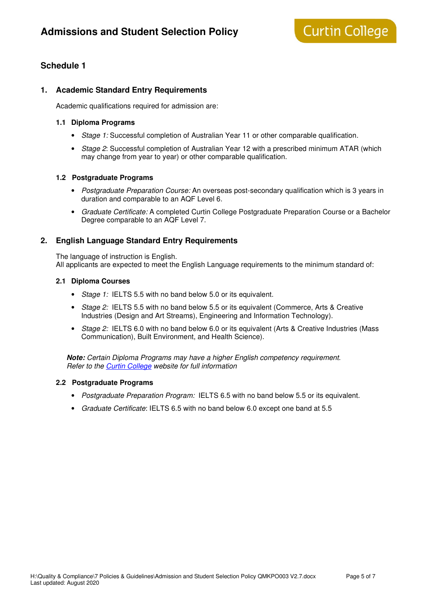## **Schedule 1**

#### **1. Academic Standard Entry Requirements**

Academic qualifications required for admission are:

#### **1.1 Diploma Programs**

- Stage 1: Successful completion of Australian Year 11 or other comparable qualification.
- Stage 2: Successful completion of Australian Year 12 with a prescribed minimum ATAR (which may change from year to year) or other comparable qualification.

#### **1.2 Postgraduate Programs**

- Postgraduate Preparation Course: An overseas post-secondary qualification which is 3 years in duration and comparable to an AQF Level 6.
- Graduate Certificate: A completed Curtin College Postgraduate Preparation Course or a Bachelor Degree comparable to an AQF Level 7.

#### **2. English Language Standard Entry Requirements**

The language of instruction is English. All applicants are expected to meet the English Language requirements to the minimum standard of:

#### **2.1 Diploma Courses**

- Stage 1: IELTS 5.5 with no band below 5.0 or its equivalent.
- Stage 2: IELTS 5.5 with no band below 5.5 or its equivalent (Commerce, Arts & Creative Industries (Design and Art Streams), Engineering and Information Technology).
- Stage 2: IELTS 6.0 with no band below 6.0 or its equivalent (Arts & Creative Industries (Mass Communication), Built Environment, and Health Science).

**Note:** Certain Diploma Programs may have a higher English competency requirement. Refer to the Curtin College website for full information

#### **2.2 Postgraduate Programs**

- Postgraduate Preparation Program: IELTS 6.5 with no band below 5.5 or its equivalent.
- Graduate Certificate: IELTS 6.5 with no band below 6.0 except one band at 5.5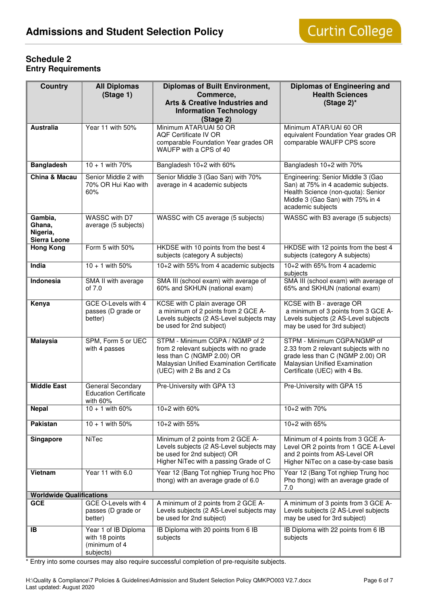### **Schedule 2 Entry Requirements**

| <b>Country</b>                                | <b>All Diplomas</b><br>(Stage 1)                                     | <b>Diplomas of Built Environment,</b><br>Commerce,<br><b>Arts &amp; Creative Industries and</b><br><b>Information Technology</b><br>(Stage 2)                                    | <b>Diplomas of Engineering and</b><br><b>Health Sciences</b><br>(Stage $2$ )*                                                                                             |
|-----------------------------------------------|----------------------------------------------------------------------|----------------------------------------------------------------------------------------------------------------------------------------------------------------------------------|---------------------------------------------------------------------------------------------------------------------------------------------------------------------------|
| <b>Australia</b>                              | Year 11 with 50%                                                     | Minimum ATAR/UAI 50 OR<br><b>AQF Certificate IV OR</b><br>comparable Foundation Year grades OR<br>WAUFP with a CPS of 40                                                         | Minimum ATAR/UAI 60 OR<br>equivalent Foundation Year grades OR<br>comparable WAUFP CPS score                                                                              |
| <b>Bangladesh</b>                             | $10 + 1$ with 70%                                                    | Bangladesh 10+2 with 60%                                                                                                                                                         | Bangladesh 10+2 with 70%                                                                                                                                                  |
| <b>China &amp; Macau</b>                      | Senior Middle 2 with<br>70% OR Hui Kao with<br>60%                   | Senior Middle 3 (Gao San) with 70%<br>average in 4 academic subjects                                                                                                             | Engineering: Senior Middle 3 (Gao<br>San) at 75% in 4 academic subjects.<br>Health Science (non-quota): Senior<br>Middle 3 (Gao San) with 75% in 4<br>academic subjects   |
| Gambia,<br>Ghana.<br>Nigeria,<br>Sierra Leone | WASSC with D7<br>average (5 subjects)                                | WASSC with C5 average (5 subjects)                                                                                                                                               | WASSC with B3 average (5 subjects)                                                                                                                                        |
| <b>Hong Kong</b>                              | Form 5 with 50%                                                      | HKDSE with 10 points from the best 4<br>subjects (category A subjects)                                                                                                           | HKDSE with 12 points from the best 4<br>subjects (category A subjects)                                                                                                    |
| India                                         | $10 + 1$ with 50%                                                    | 10+2 with 55% from 4 academic subjects                                                                                                                                           | 10+2 with 65% from 4 academic<br>subjects                                                                                                                                 |
| <b>Indonesia</b>                              | SMA II with average<br>of 7.0                                        | SMA III (school exam) with average of<br>60% and SKHUN (national exam)                                                                                                           | SMA III (school exam) with average of<br>65% and SKHUN (national exam)                                                                                                    |
| Kenya                                         | GCE O-Levels with 4<br>passes (D grade or<br>better)                 | KCSE with C plain average OR<br>a minimum of 2 points from 2 GCE A-<br>Levels subjects (2 AS-Level subjects may<br>be used for 2nd subject)                                      | KCSE with B - average OR<br>a minimum of 3 points from 3 GCE A-<br>Levels subjects (2 AS-Level subjects<br>may be used for 3rd subject)                                   |
| <b>Malaysia</b>                               | SPM, Form 5 or UEC<br>with 4 passes                                  | STPM - Minimum CGPA / NGMP of 2<br>from 2 relevant subjects with no grade<br>less than C (NGMP 2.00) OR<br>Malaysian Unified Examination Certificate<br>(UEC) with 2 Bs and 2 Cs | STPM - Minimum CGPA/NGMP of<br>2.33 from 2 relevant subjects with no<br>grade less than C (NGMP 2.00) OR<br>Malaysian Unified Examination<br>Certificate (UEC) with 4 Bs. |
| <b>Middle East</b>                            | General Secondary<br><b>Education Certificate</b><br>with 60%        | Pre-University with GPA 13                                                                                                                                                       | Pre-University with GPA 15                                                                                                                                                |
| <b>Nepal</b>                                  | $10 + 1$ with 60%                                                    | 10+2 with 60%                                                                                                                                                                    | 10+2 with 70%                                                                                                                                                             |
| Pakistan                                      | $10 + 1$ with 50%                                                    | 10+2 with 55%                                                                                                                                                                    | 10+2 with 65%                                                                                                                                                             |
| Singapore                                     | NiTec                                                                | Minimum of 2 points from 2 GCE A-<br>Levels subjects (2 AS-Level subjects may<br>be used for 2nd subject) OR<br>Higher NiTec with a passing Grade of C                           | Minimum of 4 points from 3 GCE A-<br>Level OR 2 points from 1 GCE A-Level<br>and 2 points from AS-Level OR<br>Higher NiTec on a case-by-case basis                        |
| Vietnam                                       | Year 11 with 6.0                                                     | Year 12 (Bang Tot nghiep Trung hoc Pho<br>thong) with an average grade of 6.0                                                                                                    | Year 12 (Bang Tot nghiep Trung hoc<br>Pho thong) with an average grade of<br>7.0                                                                                          |
| <b>Worldwide Qualifications</b>               |                                                                      |                                                                                                                                                                                  |                                                                                                                                                                           |
| <b>GCE</b>                                    | GCE O-Levels with 4<br>passes (D grade or<br>better)                 | A minimum of 2 points from 2 GCE A-<br>Levels subjects (2 AS-Level subjects may<br>be used for 2nd subject)                                                                      | A minimum of 3 points from 3 GCE A-<br>Levels subjects (2 AS-Level subjects<br>may be used for 3rd subject)                                                               |
| <b>IB</b>                                     | Year 1 of IB Diploma<br>with 18 points<br>(minimum of 4<br>subjects) | IB Diploma with 20 points from 6 IB<br>subjects                                                                                                                                  | IB Diploma with 22 points from 6 IB<br>subjects                                                                                                                           |

\* Entry into some courses may also require successful completion of pre-requisite subjects.